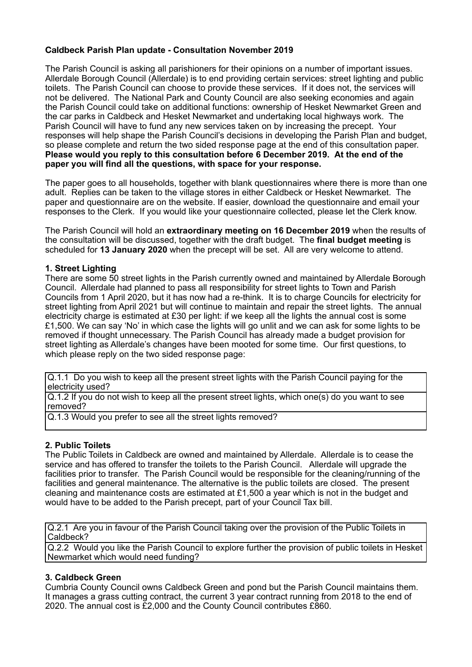## **Caldbeck Parish Plan update - Consultation November 2019**

The Parish Council is asking all parishioners for their opinions on a number of important issues. Allerdale Borough Council (Allerdale) is to end providing certain services: street lighting and public toilets. The Parish Council can choose to provide these services. If it does not, the services will not be delivered. The National Park and County Council are also seeking economies and again the Parish Council could take on additional functions: ownership of Hesket Newmarket Green and the car parks in Caldbeck and Hesket Newmarket and undertaking local highways work. The Parish Council will have to fund any new services taken on by increasing the precept. Your responses will help shape the Parish Council's decisions in developing the Parish Plan and budget, so please complete and return the two sided response page at the end of this consultation paper. **Please would you reply to this consultation before 6 December 2019. At the end of the paper you will find all the questions, with space for your response.** 

The paper goes to all households, together with blank questionnaires where there is more than one adult.Replies can be taken to the village stores in either Caldbeck or Hesket Newmarket. The paper and questionnaire are on the website. If easier, download the questionnaire and email your responses to the Clerk. If you would like your questionnaire collected, please let the Clerk know.

The Parish Council will hold an **extraordinary meeting on 16 December 2019** when the results of the consultation will be discussed, together with the draft budget. The **final budget meeting** is scheduled for **13 January 2020** when the precept will be set. All are very welcome to attend.

## **1. Street Lighting**

There are some 50 street lights in the Parish currently owned and maintained by Allerdale Borough Council. Allerdale had planned to pass all responsibility for street lights to Town and Parish Councils from 1 April 2020, but it has now had a re-think. It is to charge Councils for electricity for street lighting from April 2021 but will continue to maintain and repair the street lights. The annual electricity charge is estimated at £30 per light: if we keep all the lights the annual cost is some £1,500. We can say 'No' in which case the lights will go unlit and we can ask for some lights to be removed if thought unnecessary. The Parish Council has already made a budget provision for street lighting as Allerdale's changes have been mooted for some time. Our first questions, to which please reply on the two sided response page:

Q.1.1 Do you wish to keep all the present street lights with the Parish Council paying for the electricity used?

Q.1.2 If you do not wish to keep all the present street lights, which one(s) do you want to see removed?

Q.1.3 Would you prefer to see all the street lights removed?

## **2. Public Toilets**

The Public Toilets in Caldbeck are owned and maintained by Allerdale. Allerdale is to cease the service and has offered to transfer the toilets to the Parish Council. Allerdale will upgrade the facilities prior to transfer. The Parish Council would be responsible for the cleaning/running of the facilities and general maintenance. The alternative is the public toilets are closed. The present cleaning and maintenance costs are estimated at £1,500 a year which is not in the budget and would have to be added to the Parish precept, part of your Council Tax bill.

Q.2.1 Are you in favour of the Parish Council taking over the provision of the Public Toilets in Caldbeck?

Q.2.2 Would you like the Parish Council to explore further the provision of public toilets in Hesket Newmarket which would need funding?

## **3. Caldbeck Green**

Cumbria County Council owns Caldbeck Green and pond but the Parish Council maintains them. It manages a grass cutting contract, the current 3 year contract running from 2018 to the end of 2020. The annual cost is £2,000 and the County Council contributes £860.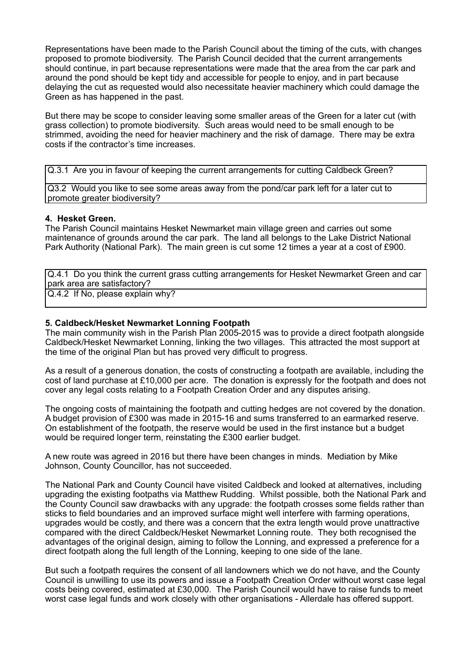Representations have been made to the Parish Council about the timing of the cuts, with changes proposed to promote biodiversity. The Parish Council decided that the current arrangements should continue, in part because representations were made that the area from the car park and around the pond should be kept tidy and accessible for people to enjoy, and in part because delaying the cut as requested would also necessitate heavier machinery which could damage the Green as has happened in the past.

But there may be scope to consider leaving some smaller areas of the Green for a later cut (with grass collection) to promote biodiversity. Such areas would need to be small enough to be strimmed, avoiding the need for heavier machinery and the risk of damage. There may be extra costs if the contractor's time increases.

Q.3.1 Are you in favour of keeping the current arrangements for cutting Caldbeck Green?

Q3.2 Would you like to see some areas away from the pond/car park left for a later cut to promote greater biodiversity?

#### **4. Hesket Green.**

The Parish Council maintains Hesket Newmarket main village green and carries out some maintenance of grounds around the car park. The land all belongs to the Lake District National Park Authority (National Park). The main green is cut some 12 times a year at a cost of £900.

Q.4.1 Do you think the current grass cutting arrangements for Hesket Newmarket Green and car park area are satisfactory?

Q.4.2 If No, please explain why?

#### **5. Caldbeck/Hesket Newmarket Lonning Footpath**

The main community wish in the Parish Plan 2005-2015 was to provide a direct footpath alongside Caldbeck/Hesket Newmarket Lonning, linking the two villages. This attracted the most support at the time of the original Plan but has proved very difficult to progress.

As a result of a generous donation, the costs of constructing a footpath are available, including the cost of land purchase at £10,000 per acre. The donation is expressly for the footpath and does not cover any legal costs relating to a Footpath Creation Order and any disputes arising.

The ongoing costs of maintaining the footpath and cutting hedges are not covered by the donation. A budget provision of £300 was made in 2015-16 and sums transferred to an earmarked reserve. On establishment of the footpath, the reserve would be used in the first instance but a budget would be required longer term, reinstating the £300 earlier budget.

A new route was agreed in 2016 but there have been changes in minds. Mediation by Mike Johnson, County Councillor, has not succeeded.

The National Park and County Council have visited Caldbeck and looked at alternatives, including upgrading the existing footpaths via Matthew Rudding. Whilst possible, both the National Park and the County Council saw drawbacks with any upgrade: the footpath crosses some fields rather than sticks to field boundaries and an improved surface might well interfere with farming operations, upgrades would be costly, and there was a concern that the extra length would prove unattractive compared with the direct Caldbeck/Hesket Newmarket Lonning route. They both recognised the advantages of the original design, aiming to follow the Lonning, and expressed a preference for a direct footpath along the full length of the Lonning, keeping to one side of the lane.

But such a footpath requires the consent of all landowners which we do not have, and the County Council is unwilling to use its powers and issue a Footpath Creation Order without worst case legal costs being covered, estimated at £30,000. The Parish Council would have to raise funds to meet worst case legal funds and work closely with other organisations - Allerdale has offered support.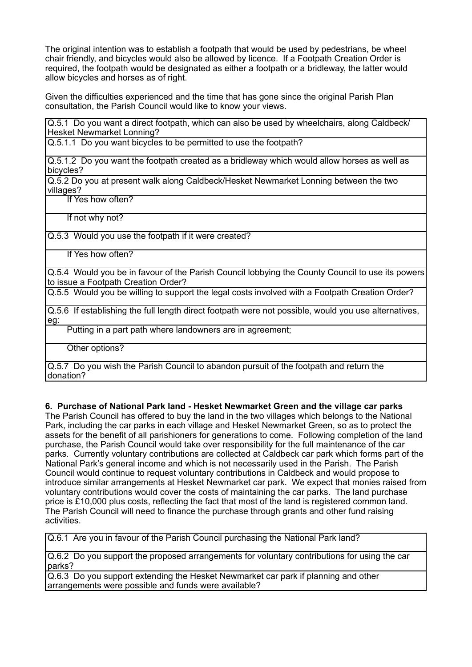The original intention was to establish a footpath that would be used by pedestrians, be wheel chair friendly, and bicycles would also be allowed by licence. If a Footpath Creation Order is required, the footpath would be designated as either a footpath or a bridleway, the latter would allow bicycles and horses as of right.

Given the difficulties experienced and the time that has gone since the original Parish Plan consultation, the Parish Council would like to know your views.

Q.5.1 Do you want a direct footpath, which can also be used by wheelchairs, along Caldbeck/ Hesket Newmarket Lonning?

Q.5.1.1 Do you want bicycles to be permitted to use the footpath?

Q.5.1.2 Do you want the footpath created as a bridleway which would allow horses as well as bicycles?

Q.5.2 Do you at present walk along Caldbeck/Hesket Newmarket Lonning between the two villages?

If Yes how often?

If not why not?

Q.5.3 Would you use the footpath if it were created?

If Yes how often?

Q.5.4 Would you be in favour of the Parish Council lobbying the County Council to use its powers to issue a Footpath Creation Order?

Q.5.5 Would you be willing to support the legal costs involved with a Footpath Creation Order?

Q.5.6 If establishing the full length direct footpath were not possible, would you use alternatives, eg:

Putting in a part path where landowners are in agreement;

Other options?

Q.5.7 Do you wish the Parish Council to abandon pursuit of the footpath and return the donation?

**6. Purchase of National Park land - Hesket Newmarket Green and the village car parks**

The Parish Council has offered to buy the land in the two villages which belongs to the National Park, including the car parks in each village and Hesket Newmarket Green, so as to protect the assets for the benefit of all parishioners for generations to come. Following completion of the land purchase, the Parish Council would take over responsibility for the full maintenance of the car parks. Currently voluntary contributions are collected at Caldbeck car park which forms part of the National Park's general income and which is not necessarily used in the Parish. The Parish Council would continue to request voluntary contributions in Caldbeck and would propose to introduce similar arrangements at Hesket Newmarket car park. We expect that monies raised from voluntary contributions would cover the costs of maintaining the car parks. The land purchase price is £10,000 plus costs, reflecting the fact that most of the land is registered common land. The Parish Council will need to finance the purchase through grants and other fund raising activities.

Q.6.1 Are you in favour of the Parish Council purchasing the National Park land?

Q.6.2 Do you support the proposed arrangements for voluntary contributions for using the car parks?

Q.6.3 Do you support extending the Hesket Newmarket car park if planning and other arrangements were possible and funds were available?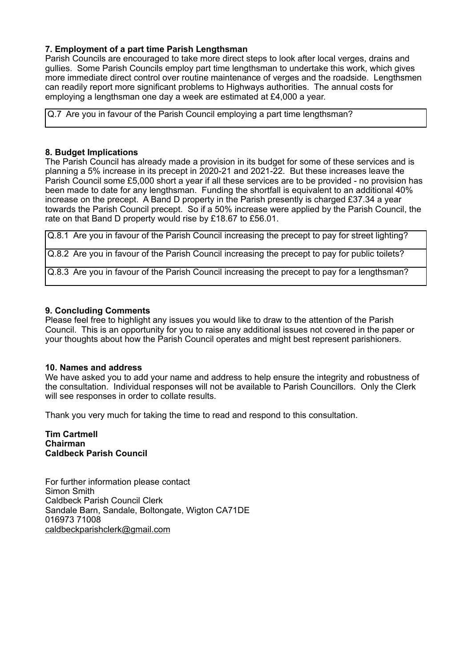## **7. Employment of a part time Parish Lengthsman**

Parish Councils are encouraged to take more direct steps to look after local verges, drains and gullies. Some Parish Councils employ part time lengthsman to undertake this work, which gives more immediate direct control over routine maintenance of verges and the roadside. Lengthsmen can readily report more significant problems to Highways authorities. The annual costs for employing a lengthsman one day a week are estimated at £4,000 a year.

Q.7 Are you in favour of the Parish Council employing a part time lengthsman?

#### **8. Budget Implications**

The Parish Council has already made a provision in its budget for some of these services and is planning a 5% increase in its precept in 2020-21 and 2021-22. But these increases leave the Parish Council some £5,000 short a year if all these services are to be provided - no provision has been made to date for any lengthsman. Funding the shortfall is equivalent to an additional 40% increase on the precept. A Band D property in the Parish presently is charged £37.34 a year towards the Parish Council precept. So if a 50% increase were applied by the Parish Council, the rate on that Band D property would rise by £18.67 to £56.01.

Q.8.1 Are you in favour of the Parish Council increasing the precept to pay for street lighting?

Q.8.2 Are you in favour of the Parish Council increasing the precept to pay for public toilets?

Q.8.3 Are you in favour of the Parish Council increasing the precept to pay for a lengthsman?

#### **9. Concluding Comments**

Please feel free to highlight any issues you would like to draw to the attention of the Parish Council. This is an opportunity for you to raise any additional issues not covered in the paper or your thoughts about how the Parish Council operates and might best represent parishioners.

#### **10. Names and address**

We have asked you to add your name and address to help ensure the integrity and robustness of the consultation. Individual responses will not be available to Parish Councillors. Only the Clerk will see responses in order to collate results.

Thank you very much for taking the time to read and respond to this consultation.

**Tim Cartmell Chairman Caldbeck Parish Council** 

For further information please contact Simon Smith Caldbeck Parish Council Clerk Sandale Barn, Sandale, Boltongate, Wigton CA71DE 016973 71008 [caldbeckparishclerk@gmail.com](mailto:caldbeckparishclerk@gmail.com)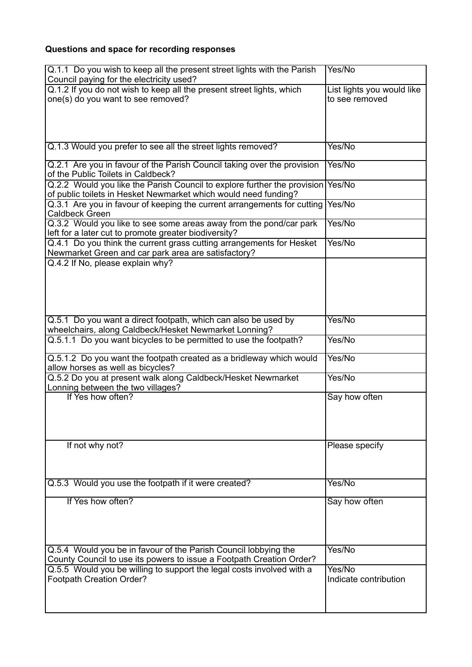# **Questions and space for recording responses**

| Q.1.1 Do you wish to keep all the present street lights with the Parish<br>Council paying for the electricity used?                         | Yes/No                                       |
|---------------------------------------------------------------------------------------------------------------------------------------------|----------------------------------------------|
| Q.1.2 If you do not wish to keep all the present street lights, which<br>one(s) do you want to see removed?                                 | List lights you would like<br>to see removed |
|                                                                                                                                             |                                              |
| Q.1.3 Would you prefer to see all the street lights removed?                                                                                | Yes/No                                       |
| Q.2.1 Are you in favour of the Parish Council taking over the provision<br>of the Public Toilets in Caldbeck?                               | Yes/No                                       |
| Q.2.2 Would you like the Parish Council to explore further the provision<br>of public toilets in Hesket Newmarket which would need funding? | Yes/No                                       |
| Q.3.1 Are you in favour of keeping the current arrangements for cutting<br><b>Caldbeck Green</b>                                            | Yes/No                                       |
| Q.3.2 Would you like to see some areas away from the pond/car park<br>left for a later cut to promote greater biodiversity?                 | Yes/No                                       |
| Q.4.1 Do you think the current grass cutting arrangements for Hesket<br>Newmarket Green and car park area are satisfactory?                 | Yes/No                                       |
| Q.4.2 If No, please explain why?                                                                                                            |                                              |
| Q.5.1 Do you want a direct footpath, which can also be used by<br>wheelchairs, along Caldbeck/Hesket Newmarket Lonning?                     | Yes/No                                       |
| Q.5.1.1 Do you want bicycles to be permitted to use the footpath?                                                                           | Yes/No                                       |
| Q.5.1.2 Do you want the footpath created as a bridleway which would<br>allow horses as well as bicycles?                                    | Yes/No                                       |
| Q.5.2 Do you at present walk along Caldbeck/Hesket Newmarket<br>Lonning between the two villages?                                           | Yes/No                                       |
| If Yes how often?                                                                                                                           | Say how often                                |
| If not why not?                                                                                                                             | Please specify                               |
| Q.5.3 Would you use the footpath if it were created?                                                                                        | Yes/No                                       |
| If Yes how often?                                                                                                                           | Say how often                                |
| Q.5.4 Would you be in favour of the Parish Council lobbying the<br>County Council to use its powers to issue a Footpath Creation Order?     | Yes/No                                       |
| Q.5.5 Would you be willing to support the legal costs involved with a<br>Footpath Creation Order?                                           | Yes/No<br>Indicate contribution              |